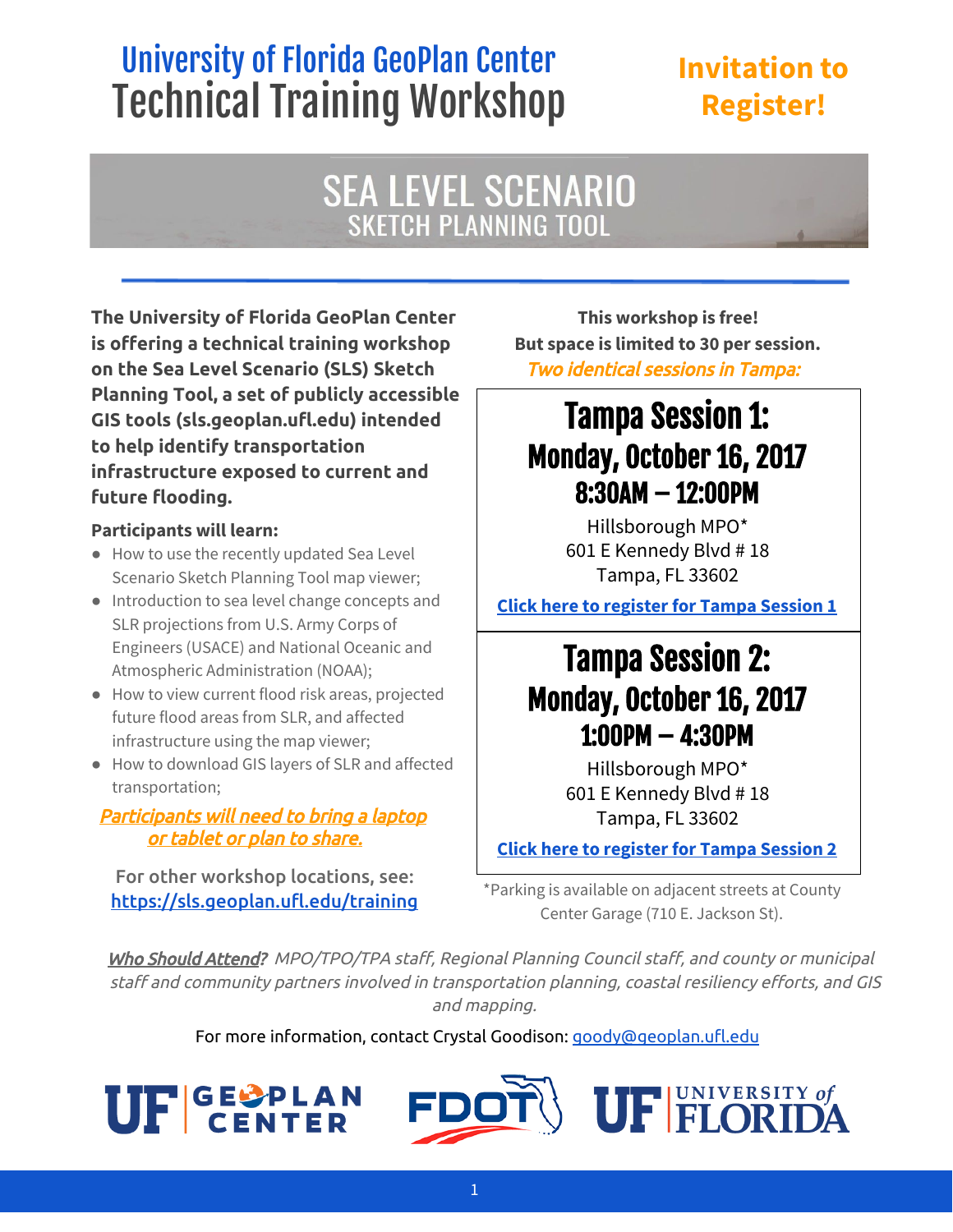## University of Florida GeoPlan Center Technical Training Workshop

### **Invitation to Register!**

# **SEA LEVEL SCENARIO**<br>SKETCH PLANNING TOOL

**The University of Florida GeoPlan Center is offering a technical training workshop on the Sea Level Scenario (SLS) Sketch Planning Tool, a set of publicly accessible GIS tools (sls.geoplan.ufl.edu) intended to help identify transportation infrastructure exposed to current and future flooding.**

#### **Participants will learn:**

- How to use the recently updated Sea Level Scenario Sketch Planning Tool map viewer;
- Introduction to sea level change concepts and SLR projections from U.S. Army Corps of Engineers (USACE) and National Oceanic and Atmospheric Administration (NOAA);
- How to view current flood risk areas, projected future flood areas from SLR, and affected infrastructure using the map viewer;
- How to download GIS layers of SLR and affected transportation;

#### Participants will need to bring a laptop or tablet or plan to share.

For other workshop locations, see: <https://sls.geoplan.ufl.edu/training>

**This workshop is free! But space is limited to 30 per session.** Two identical sessions in Tampa:

## Tampa Session 1: Monday, October 16, 2017 8:30AM – 12:00PM

Hillsborough MPO\* 601 E Kennedy Blvd # 18 Tampa, FL 33602

**Click here to [register](https://goo.gl/forms/mVo7rzKX2Sz94VTm1) for Tampa Session <sup>1</sup>**

## Tampa Session 2: Monday, October 16, 2017 1:00PM – 4:30PM

Hillsborough MPO\* 601 E Kennedy Blvd # 18 Tampa, FL 33602

**Click here to [register](https://goo.gl/forms/n4qyPxIzBdlp5l6u2) for Tampa Session 2**

\*Parking is available on adjacent streets at County Center Garage (710 E. Jackson St).

Who Should Attend? MPO/TPO/TPA staff, Regional Planning Council staff, and county or municipal staff and community partners involved in transportation planning, coastal resiliency efforts, and GIS and mapping.

For more information, contact Crystal Goodison: [goody@geoplan.ufl.edu](mailto:goody@geoplan.ufl.edu)